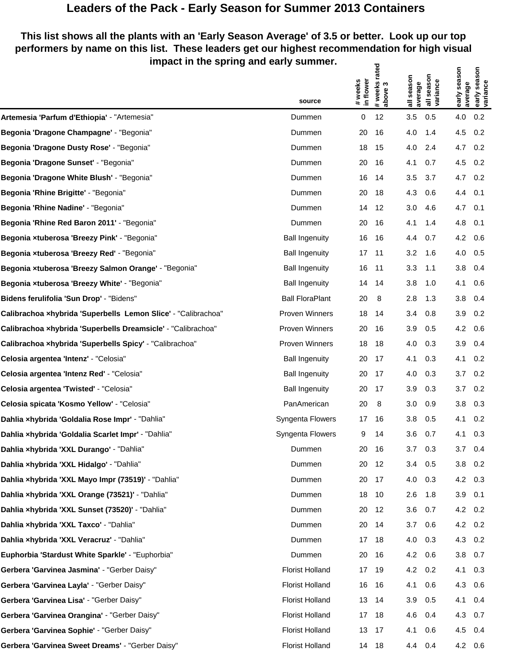## **Leaders of the Pack - Early Season for Summer 2013 Containers**

## **This list shows all the plants with an 'Early Season Average' of 3.5 or better. Look up our top performers by name on this list. These leaders get our highest recommendation for high visual impact in the spring and early summer.** ಕ್ಷ  $5<sup>2</sup>$

|                                                               | source                 | # weeks<br>in flower | #weeks rated<br>above 3 | season<br>average<br>$\overline{\overline{a}}$ | all season<br>variance | early season<br>average | season<br>early sea:<br>variance |
|---------------------------------------------------------------|------------------------|----------------------|-------------------------|------------------------------------------------|------------------------|-------------------------|----------------------------------|
| Artemesia 'Parfum d'Ethiopia' - "Artemesia"                   | Dummen                 | 0                    | 12                      | 3.5                                            | 0.5                    | 4.0                     | 0.2                              |
| Begonia 'Dragone Champagne' - "Begonia"                       | Dummen                 | 20                   | 16                      | 4.0                                            | 1.4                    | 4.5                     | 0.2                              |
| Begonia 'Dragone Dusty Rose' - "Begonia"                      | Dummen                 | 18                   | 15                      | 4.0                                            | 2.4                    | 4.7                     | 0.2                              |
| Begonia 'Dragone Sunset' - "Begonia"                          | Dummen                 | 20                   | 16                      | 4.1                                            | 0.7                    | 4.5                     | 0.2                              |
| Begonia 'Dragone White Blush' - "Begonia"                     | Dummen                 | 16                   | 14                      | 3.5                                            | 3.7                    | 4.7                     | 0.2                              |
| Begonia 'Rhine Brigitte' - "Begonia"                          | Dummen                 | 20                   | 18                      | 4.3                                            | 0.6                    | 4.4                     | 0.1                              |
| Begonia 'Rhine Nadine' - "Begonia"                            | Dummen                 | 14                   | 12                      | 3.0                                            | 4.6                    | 4.7                     | 0.1                              |
| Begonia 'Rhine Red Baron 2011' - "Begonia"                    | Dummen                 | 20                   | 16                      | 4.1                                            | 1.4                    | 4.8                     | 0.1                              |
| Begonia xtuberosa 'Breezy Pink' - "Begonia"                   | <b>Ball Ingenuity</b>  | 16                   | 16                      | 4.4                                            | 0.7                    | 4.2                     | 0.6                              |
| Begonia xtuberosa 'Breezy Red' - "Begonia"                    | <b>Ball Ingenuity</b>  | 17 <sup>2</sup>      | $-11$                   | 3.2                                            | 1.6                    | 4.0                     | 0.5                              |
| Begonia xtuberosa 'Breezy Salmon Orange' - "Begonia"          | <b>Ball Ingenuity</b>  | 16                   | -11                     | 3.3                                            | 1.1                    | 3.8                     | 0.4                              |
| Begonia xtuberosa 'Breezy White' - "Begonia"                  | <b>Ball Ingenuity</b>  | 14                   | - 14                    | 3.8                                            | 1.0                    | 4.1                     | 0.6                              |
| Bidens ferulifolia 'Sun Drop' - "Bidens"                      | <b>Ball FloraPlant</b> | 20                   | 8                       | 2.8                                            | 1.3                    | 3.8                     | 0.4                              |
| Calibrachoa xhybrida 'Superbells Lemon Slice' - "Calibrachoa" | Proven Winners         | 18                   | 14                      | 3.4                                            | 0.8                    | 3.9                     | 0.2                              |
| Calibrachoa xhybrida 'Superbells Dreamsicle' - "Calibrachoa"  | Proven Winners         | 20                   | 16                      | 3.9                                            | 0.5                    | 4.2                     | 0.6                              |
| Calibrachoa xhybrida 'Superbells Spicy' - "Calibrachoa"       | Proven Winners         | 18                   | 18                      | 4.0                                            | 0.3                    | 3.9                     | 0.4                              |
| Celosia argentea 'Intenz' - "Celosia"                         | <b>Ball Ingenuity</b>  | 20                   | 17                      | 4.1                                            | 0.3                    | 4.1                     | 0.2                              |
| Celosia argentea 'Intenz Red' - "Celosia"                     | <b>Ball Ingenuity</b>  | 20                   | 17                      | 4.0                                            | 0.3                    | 3.7                     | 0.2                              |
| Celosia argentea 'Twisted' - "Celosia"                        | <b>Ball Ingenuity</b>  | 20                   | 17                      | 3.9                                            | 0.3                    | 3.7                     | 0.2                              |
| Celosia spicata 'Kosmo Yellow' - "Celosia"                    | PanAmerican            | 20                   | 8                       | 3.0                                            | 0.9                    | 3.8                     | 0.3                              |
| Dahlia xhybrida 'Goldalia Rose Impr' - "Dahlia"               | Syngenta Flowers       | 17                   | 16                      | 3.8                                            | 0.5                    | 4.1                     | 0.2                              |
| Dahlia xhybrida 'Goldalia Scarlet Impr' - "Dahlia"            | Syngenta Flowers       | 9                    | 14                      | 3.6                                            | 0.7                    | 4.1                     | 0.3                              |
| Dahlia xhybrida 'XXL Durango' - "Dahlia"                      | Dummen                 | 20                   | - 16                    | 3.7                                            | 0.3                    | 3.7                     | 0.4                              |
| Dahlia xhybrida 'XXL Hidalgo' - "Dahlia"                      | Dummen                 | 20                   | 12                      | 3.4                                            | 0.5                    | 3.8                     | 0.2                              |
| Dahlia xhybrida 'XXL Mayo Impr (73519)' - "Dahlia"            | Dummen                 | 20                   | 17                      | 4.0                                            | 0.3                    | 4.2                     | 0.3                              |
| Dahlia xhybrida 'XXL Orange (73521)' - "Dahlia"               | Dummen                 | 18                   | 10                      | 2.6                                            | 1.8                    | 3.9                     | 0.1                              |
| Dahlia xhybrida 'XXL Sunset (73520)' - "Dahlia"               | Dummen                 | 20                   | 12                      | 3.6                                            | 0.7                    | 4.2                     | 0.2                              |
| Dahlia xhybrida 'XXL Taxco' - "Dahlia"                        | Dummen                 | 20                   | 14                      | 3.7                                            | 0.6                    | 4.2                     | 0.2                              |
| Dahlia xhybrida 'XXL Veracruz' - "Dahlia"                     | Dummen                 |                      | 17 18                   | 4.0                                            | 0.3                    | 4.3                     | 0.2                              |
| Euphorbia 'Stardust White Sparkle' - "Euphorbia"              | Dummen                 | 20                   | -16                     | 4.2                                            | 0.6                    | 3.8                     | 0.7                              |
| Gerbera 'Garvinea Jasmina' - "Gerber Daisy"                   | <b>Florist Holland</b> |                      | 17 19                   | 4.2                                            | 0.2                    | 4.1                     | 0.3                              |
| Gerbera 'Garvinea Layla' - "Gerber Daisy"                     | <b>Florist Holland</b> | 16                   | - 16                    | 4.1                                            | 0.6                    | 4.3                     | 0.6                              |
| Gerbera 'Garvinea Lisa' - "Gerber Daisy"                      | <b>Florist Holland</b> | 13                   | 14                      | 3.9                                            | 0.5                    | 4.1                     | 0.4                              |
| Gerbera 'Garvinea Orangina' - "Gerber Daisy"                  | <b>Florist Holland</b> | 17                   | 18                      | 4.6                                            | 0.4                    | 4.3                     | 0.7                              |
| Gerbera 'Garvinea Sophie' - "Gerber Daisy"                    | <b>Florist Holland</b> |                      | 13 17                   | 4.1                                            | 0.6                    | 4.5                     | 0.4                              |
| Gerbera 'Garvinea Sweet Dreams' - "Gerber Daisy"              | <b>Florist Holland</b> |                      | 14 18                   | 4.4                                            | 0.4                    | 4.2 0.6                 |                                  |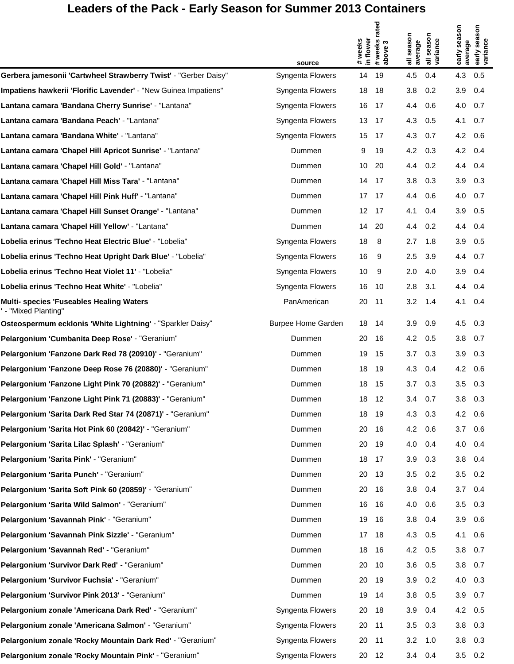## **Leaders of the Pack - Early Season for Summer 2013 Containers**

|                                                                        | source                    | # weeks<br>in flower | # weeks rated<br>above 3 | all season<br>average | season<br>all seasor<br>variance | early season<br>average | early season<br>variance |
|------------------------------------------------------------------------|---------------------------|----------------------|--------------------------|-----------------------|----------------------------------|-------------------------|--------------------------|
| Gerbera jamesonii 'Cartwheel Strawberry Twist' - "Gerber Daisy"        | Syngenta Flowers          | 14                   | 19                       | 4.5                   | 0.4                              | 4.3                     | 0.5                      |
| Impatiens hawkerii 'Florific Lavender' - "New Guinea Impatiens"        | Syngenta Flowers          | 18                   | 18                       | 3.8                   | 0.2                              | 3.9                     | 0.4                      |
| Lantana camara 'Bandana Cherry Sunrise' - "Lantana"                    | Syngenta Flowers          | 16                   | 17                       | 4.4                   | 0.6                              | 4.0                     | 0.7                      |
| Lantana camara 'Bandana Peach' - "Lantana"                             | Syngenta Flowers          | 13                   | 17                       | 4.3                   | 0.5                              | 4.1                     | 0.7                      |
| Lantana camara 'Bandana White' - "Lantana"                             | Syngenta Flowers          | 15                   | 17                       | 4.3                   | 0.7                              | 4.2                     | 0.6                      |
| Lantana camara 'Chapel Hill Apricot Sunrise' - "Lantana"               | Dummen                    | 9                    | 19                       | 4.2                   | 0.3                              | 4.2                     | 0.4                      |
| Lantana camara 'Chapel Hill Gold' - "Lantana"                          | Dummen                    | 10                   | 20                       | 4.4                   | 0.2                              | 4.4                     | 0.4                      |
| Lantana camara 'Chapel Hill Miss Tara' - "Lantana"                     | Dummen                    | 14                   | 17                       | 3.8                   | 0.3                              | 3.9                     | 0.3                      |
| Lantana camara 'Chapel Hill Pink Huff' - "Lantana"                     | Dummen                    | 17                   | 17                       | 4.4                   | 0.6                              | 4.0                     | 0.7                      |
| Lantana camara 'Chapel Hill Sunset Orange' - "Lantana"                 | Dummen                    | 12                   | 17                       | 4.1                   | 0.4                              | 3.9                     | 0.5                      |
| Lantana camara 'Chapel Hill Yellow' - "Lantana"                        | Dummen                    | 14                   | 20                       | 4.4                   | 0.2                              | 4.4                     | 0.4                      |
| Lobelia erinus 'Techno Heat Electric Blue' - "Lobelia"                 | Syngenta Flowers          | 18                   | 8                        | 2.7                   | 1.8                              | 3.9                     | 0.5                      |
| Lobelia erinus 'Techno Heat Upright Dark Blue' - "Lobelia"             | Syngenta Flowers          | 16                   | -9                       | 2.5                   | 3.9                              | 4.4                     | 0.7                      |
| Lobelia erinus 'Techno Heat Violet 11' - "Lobelia"                     | Syngenta Flowers          | 10                   | 9                        | 2.0                   | 4.0                              | 3.9                     | 0.4                      |
| Lobelia erinus 'Techno Heat White' - "Lobelia"                         | Syngenta Flowers          | 16                   | 10                       | 2.8                   | 3.1                              | 4.4                     | 0.4                      |
| <b>Multi- species 'Fuseables Healing Waters</b><br>'- "Mixed Planting" | PanAmerican               | 20                   | 11                       | 3.2                   | 1.4                              | 4.1                     | 0.4                      |
| Osteospermum ecklonis 'White Lightning' - "Sparkler Daisy"             | <b>Burpee Home Garden</b> | 18                   | 14                       | 3.9                   | 0.9                              | 4.5                     | 0.3                      |
| Pelargonium 'Cumbanita Deep Rose' - "Geranium"                         | Dummen                    | 20                   | 16                       | 4.2                   | 0.5                              | 3.8                     | 0.7                      |
| Pelargonium 'Fanzone Dark Red 78 (20910)' - "Geranium"                 | Dummen                    | 19                   | 15                       | 3.7                   | 0.3                              | 3.9                     | 0.3                      |
| Pelargonium 'Fanzone Deep Rose 76 (20880)' - "Geranium"                | Dummen                    | 18                   | 19                       | 4.3                   | 0.4                              | 4.2                     | 0.6                      |
| Pelargonium 'Fanzone Light Pink 70 (20882)' - "Geranium"               | Dummen                    | 18                   | 15                       | 3.7                   | 0.3                              | 3.5                     | 0.3                      |
| Pelargonium 'Fanzone Light Pink 71 (20883)' - "Geranium"               | Dummen                    | 18                   | 12                       | 3.4                   | 0.7                              | 3.8                     | 0.3                      |
| Pelargonium 'Sarita Dark Red Star 74 (20871)' - "Geranium"             | Dummen                    | 18                   | 19                       | 4.3                   | 0.3                              | 4.2                     | 0.6                      |
| Pelargonium 'Sarita Hot Pink 60 (20842)' - "Geranium"                  | Dummen                    | 20                   | 16                       | 4.2                   | 0.6                              | 3.7                     | 0.6                      |
| Pelargonium 'Sarita Lilac Splash' - "Geranium"                         | Dummen                    | 20                   | 19                       | 4.0                   | 0.4                              | 4.0                     | 0.4                      |
| Pelargonium 'Sarita Pink' - "Geranium"                                 | Dummen                    | 18                   | 17                       | 3.9                   | 0.3                              | 3.8                     | 0.4                      |
| Pelargonium 'Sarita Punch' - "Geranium"                                | Dummen                    | 20                   | 13                       | 3.5                   | 0.2                              | 3.5                     | 0.2                      |
| Pelargonium 'Sarita Soft Pink 60 (20859)' - "Geranium"                 | Dummen                    | 20                   | 16                       | 3.8                   | 0.4                              | 3.7                     | 0.4                      |
| Pelargonium 'Sarita Wild Salmon' - "Geranium"                          | Dummen                    | 16                   | 16                       | 4.0                   | 0.6                              | 3.5                     | 0.3                      |
| Pelargonium 'Savannah Pink' - "Geranium"                               | Dummen                    | 19                   | 16                       | 3.8                   | 0.4                              | 3.9                     | 0.6                      |
| Pelargonium 'Savannah Pink Sizzle' - "Geranium"                        | Dummen                    | 17                   | 18                       | 4.3                   | 0.5                              | 4.1                     | 0.6                      |
| Pelargonium 'Savannah Red' - "Geranium"                                | Dummen                    | 18                   | 16                       | 4.2                   | 0.5                              | 3.8                     | 0.7                      |
| Pelargonium 'Survivor Dark Red' - "Geranium"                           | Dummen                    | 20                   | 10                       | 3.6                   | 0.5                              | 3.8                     | 0.7                      |
| Pelargonium 'Survivor Fuchsia' - "Geranium"                            | Dummen                    | 20                   | 19                       | 3.9                   | 0.2                              | 4.0                     | 0.3                      |
| Pelargonium 'Survivor Pink 2013' - "Geranium"                          | Dummen                    | 19                   | 14                       | 3.8                   | 0.5                              | 3.9                     | 0.7                      |
| Pelargonium zonale 'Americana Dark Red' - "Geranium"                   | Syngenta Flowers          | 20                   | 18                       | 3.9                   | 0.4                              | 4.2                     | 0.5                      |
| Pelargonium zonale 'Americana Salmon' - "Geranium"                     | Syngenta Flowers          | 20                   | 11                       | 3.5                   | 0.3                              | 3.8                     | 0.3                      |
| Pelargonium zonale 'Rocky Mountain Dark Red' - "Geranium"              | Syngenta Flowers          | 20                   | 11                       | 3.2                   | 1.0                              | 3.8                     | 0.3                      |
| Pelargonium zonale 'Rocky Mountain Pink' - "Geranium"                  | Syngenta Flowers          | 20                   | 12                       | 3.4                   | 0.4                              | 3.5                     | 0.2                      |